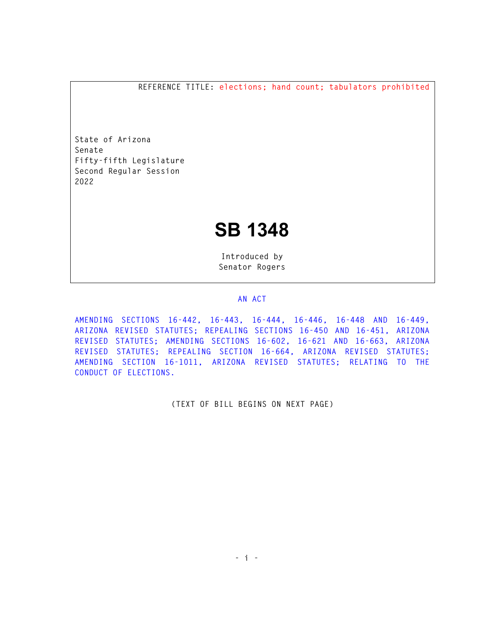**REFERENCE TITLE: elections; hand count; tabulators prohibited** 

**State of Arizona Senate Fifty-fifth Legislature Second Regular Session 2022** 

## **SB 1348**

**Introduced by Senator Rogers** 

## **AN ACT**

**AMENDING SECTIONS 16-442, 16-443, 16-444, 16-446, 16-448 AND 16-449, ARIZONA REVISED STATUTES; REPEALING SECTIONS 16-450 AND 16-451, ARIZONA REVISED STATUTES; AMENDING SECTIONS 16-602, 16-621 AND 16-663, ARIZONA REVISED STATUTES; REPEALING SECTION 16-664, ARIZONA REVISED STATUTES; AMENDING SECTION 16-1011, ARIZONA REVISED STATUTES; RELATING TO THE CONDUCT OF ELECTIONS.** 

**(TEXT OF BILL BEGINS ON NEXT PAGE)**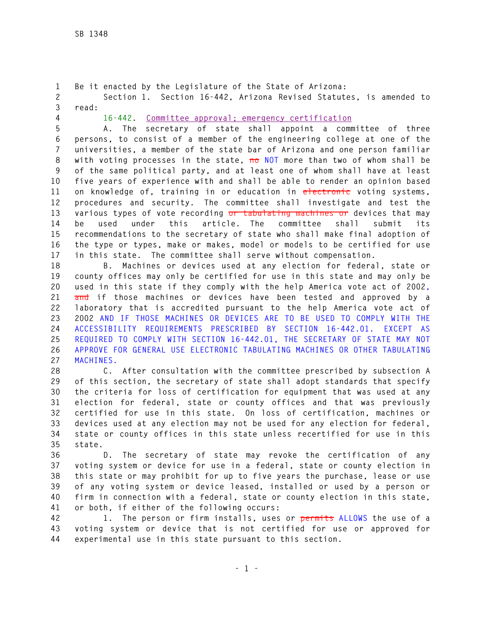**1 Be it enacted by the Legislature of the State of Arizona: 2 Section 1. Section 16-442, Arizona Revised Statutes, is amended to 3 read:** 

**4 16-442. Committee approval; emergency certification**

**5 A. The secretary of state shall appoint a committee of three 6 persons, to consist of a member of the engineering college at one of the 7 universities, a member of the state bar of Arizona and one person familiar 8 with voting processes in the state, no NOT more than two of whom shall be 9 of the same political party, and at least one of whom shall have at least 10 five years of experience with and shall be able to render an opinion based 11 on knowledge of, training in or education in electronic voting systems, 12 procedures and security. The committee shall investigate and test the 13 various types of vote recording or tabulating machines or devices that may 14 be used under this article. The committee shall submit its 15 recommendations to the secretary of state who shall make final adoption of 16 the type or types, make or makes, model or models to be certified for use 17 in this state. The committee shall serve without compensation.** 

**18 B. Machines or devices used at any election for federal, state or 19 county offices may only be certified for use in this state and may only be 20 used in this state if they comply with the help America vote act of 2002, 21 and if those machines or devices have been tested and approved by a 22 laboratory that is accredited pursuant to the help America vote act of 23 2002 AND IF THOSE MACHINES OR DEVICES ARE TO BE USED TO COMPLY WITH THE 24 ACCESSIBILITY REQUIREMENTS PRESCRIBED BY SECTION 16-442.01. EXCEPT AS 25 REQUIRED TO COMPLY WITH SECTION 16-442.01, THE SECRETARY OF STATE MAY NOT 26 APPROVE FOR GENERAL USE ELECTRONIC TABULATING MACHINES OR OTHER TABULATING 27 MACHINES.**

**28 C. After consultation with the committee prescribed by subsection A 29 of this section, the secretary of state shall adopt standards that specify 30 the criteria for loss of certification for equipment that was used at any 31 election for federal, state or county offices and that was previously 32 certified for use in this state. On loss of certification, machines or 33 devices used at any election may not be used for any election for federal, 34 state or county offices in this state unless recertified for use in this 35 state.** 

**36 D. The secretary of state may revoke the certification of any 37 voting system or device for use in a federal, state or county election in 38 this state or may prohibit for up to five years the purchase, lease or use 39 of any voting system or device leased, installed or used by a person or 40 firm in connection with a federal, state or county election in this state, 41 or both, if either of the following occurs:** 

**42 1. The person or firm installs, uses or permits ALLOWS the use of a 43 voting system or device that is not certified for use or approved for 44 experimental use in this state pursuant to this section.**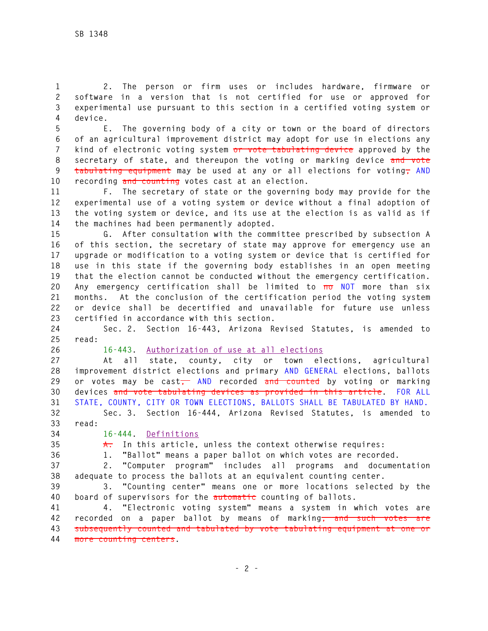**1 2. The person or firm uses or includes hardware, firmware or 2 software in a version that is not certified for use or approved for 3 experimental use pursuant to this section in a certified voting system or 4 device.** 

**5 E. The governing body of a city or town or the board of directors 6 of an agricultural improvement district may adopt for use in elections any 7 kind of electronic voting system or vote tabulating device approved by the 8 secretary of state, and thereupon the voting or marking device and vote**  9 tabulating equipment may be used at any or all elections for voting, AND **10 recording and counting votes cast at an election.** 

**11 F. The secretary of state or the governing body may provide for the 12 experimental use of a voting system or device without a final adoption of 13 the voting system or device, and its use at the election is as valid as if 14 the machines had been permanently adopted.** 

**15 G. After consultation with the committee prescribed by subsection A 16 of this section, the secretary of state may approve for emergency use an 17 upgrade or modification to a voting system or device that is certified for 18 use in this state if the governing body establishes in an open meeting 19 that the election cannot be conducted without the emergency certification. 20 Any emergency certification shall be limited to no NOT more than six 21 months. At the conclusion of the certification period the voting system 22 or device shall be decertified and unavailable for future use unless 23 certified in accordance with this section.** 

**24 Sec. 2. Section 16-443, Arizona Revised Statutes, is amended to 25 read:** 

**26 16-443. Authorization of use at all elections**

**27 At all state, county, city or town elections, agricultural 28 improvement district elections and primary AND GENERAL elections, ballots**  29 or votes may be cast<del>,</del> AND recorded and counted by voting or marking **30 devices and vote tabulating devices as provided in this article. FOR ALL 31 STATE, COUNTY, CITY OR TOWN ELECTIONS, BALLOTS SHALL BE TABULATED BY HAND.** 

**32 Sec. 3. Section 16-444, Arizona Revised Statutes, is amended to 33 read:** 

**34 16-444. Definitions**

**35 A. In this article, unless the context otherwise requires:** 

**36 1. "Ballot" means a paper ballot on which votes are recorded.** 

**37 2. "Computer program" includes all programs and documentation 38 adequate to process the ballots at an equivalent counting center.** 

**39 3. "Counting center" means one or more locations selected by the 40 board of supervisors for the automatic counting of ballots.** 

**41 4. "Electronic voting system" means a system in which votes are 42 recorded on a paper ballot by means of marking, and such votes are 43 subsequently counted and tabulated by vote tabulating equipment at one or 44 more counting centers.**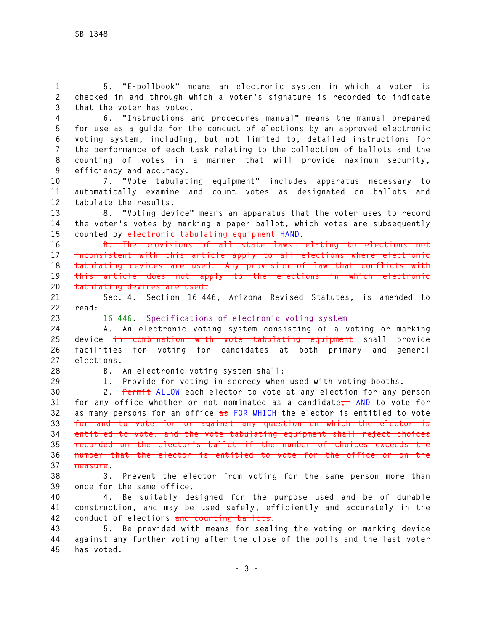**1 5. "E-pollbook" means an electronic system in which a voter is 2 checked in and through which a voter's signature is recorded to indicate 3 that the voter has voted.** 

**4 6. "Instructions and procedures manual" means the manual prepared 5 for use as a guide for the conduct of elections by an approved electronic 6 voting system, including, but not limited to, detailed instructions for 7 the performance of each task relating to the collection of ballots and the 8 counting of votes in a manner that will provide maximum security, 9 efficiency and accuracy.** 

**10 7. "Vote tabulating equipment" includes apparatus necessary to 11 automatically examine and count votes as designated on ballots and 12 tabulate the results.** 

**13 8. "Voting device" means an apparatus that the voter uses to record 14 the voter's votes by marking a paper ballot, which votes are subsequently 15 counted by electronic tabulating equipment HAND.** 

**16 B. The provisions of all state laws relating to elections not 17 inconsistent with this article apply to all elections where electronic 18 tabulating devices are used. Any provision of law that conflicts with 19 this article does not apply to the elections in which electronic 20 tabulating devices are used.** 

**21 Sec. 4. Section 16-446, Arizona Revised Statutes, is amended to 22 read:** 

**23 16-446. Specifications of electronic voting system**

**24 A. An electronic voting system consisting of a voting or marking 25 device in combination with vote tabulating equipment shall provide 26 facilities for voting for candidates at both primary and general 27 elections.** 

**28 B. An electronic voting system shall:** 

**29 1. Provide for voting in secrecy when used with voting booths.** 

**30 2. Permit ALLOW each elector to vote at any election for any person 31 for any office whether or not nominated as a candidate, AND to vote for 32 as many persons for an office as FOR WHICH the elector is entitled to vote 33 for and to vote for or against any question on which the elector is 34 entitled to vote, and the vote tabulating equipment shall reject choices 35 recorded on the elector's ballot if the number of choices exceeds the 36 number that the elector is entitled to vote for the office or on the 37 measure.** 

**38 3. Prevent the elector from voting for the same person more than 39 once for the same office.** 

**40 4. Be suitably designed for the purpose used and be of durable 41 construction, and may be used safely, efficiently and accurately in the 42 conduct of elections and counting ballots.** 

**43 5. Be provided with means for sealing the voting or marking device 44 against any further voting after the close of the polls and the last voter 45 has voted.**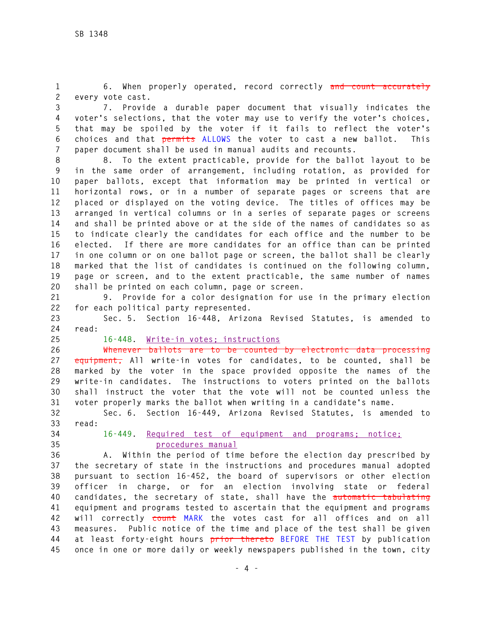**1 6. When properly operated, record correctly and count accurately 2 every vote cast.** 

**3 7. Provide a durable paper document that visually indicates the 4 voter's selections, that the voter may use to verify the voter's choices, 5 that may be spoiled by the voter if it fails to reflect the voter's 6 choices and that permits ALLOWS the voter to cast a new ballot. This 7 paper document shall be used in manual audits and recounts.** 

**8 8. To the extent practicable, provide for the ballot layout to be 9 in the same order of arrangement, including rotation, as provided for 10 paper ballots, except that information may be printed in vertical or 11 horizontal rows, or in a number of separate pages or screens that are 12 placed or displayed on the voting device. The titles of offices may be 13 arranged in vertical columns or in a series of separate pages or screens 14 and shall be printed above or at the side of the names of candidates so as 15 to indicate clearly the candidates for each office and the number to be 16 elected. If there are more candidates for an office than can be printed 17 in one column or on one ballot page or screen, the ballot shall be clearly 18 marked that the list of candidates is continued on the following column, 19 page or screen, and to the extent practicable, the same number of names 20 shall be printed on each column, page or screen.** 

**21 9. Provide for a color designation for use in the primary election 22 for each political party represented.** 

**23 Sec. 5. Section 16-448, Arizona Revised Statutes, is amended to 24 read:** 

**25 16-448. Write-in votes; instructions**

**26 Whenever ballots are to be counted by electronic data processing 27 equipment, All write-in votes for candidates, to be counted, shall be 28 marked by the voter in the space provided opposite the names of the 29 write-in candidates. The instructions to voters printed on the ballots 30 shall instruct the voter that the vote will not be counted unless the 31 voter properly marks the ballot when writing in a candidate's name.** 

**32 Sec. 6. Section 16-449, Arizona Revised Statutes, is amended to 33 read:** 

**34 16-449. Required test of equipment and programs; notice; 35 procedures manual**

**36 A. Within the period of time before the election day prescribed by 37 the secretary of state in the instructions and procedures manual adopted 38 pursuant to section 16-452, the board of supervisors or other election 39 officer in charge, or for an election involving state or federal 40 candidates, the secretary of state, shall have the automatic tabulating 41 equipment and programs tested to ascertain that the equipment and programs 42 will correctly count MARK the votes cast for all offices and on all 43 measures. Public notice of the time and place of the test shall be given 44 at least forty-eight hours prior thereto BEFORE THE TEST by publication 45 once in one or more daily or weekly newspapers published in the town, city**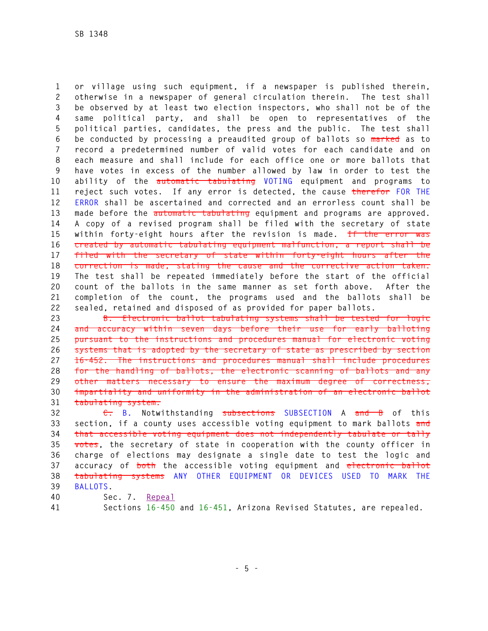**1 or village using such equipment, if a newspaper is published therein, 2 otherwise in a newspaper of general circulation therein. The test shall 3 be observed by at least two election inspectors, who shall not be of the 4 same political party, and shall be open to representatives of the 5 political parties, candidates, the press and the public. The test shall 6 be conducted by processing a preaudited group of ballots so marked as to 7 record a predetermined number of valid votes for each candidate and on 8 each measure and shall include for each office one or more ballots that 9 have votes in excess of the number allowed by law in order to test the 10 ability of the automatic tabulating VOTING equipment and programs to 11 reject such votes. If any error is detected, the cause therefor FOR THE 12 ERROR shall be ascertained and corrected and an errorless count shall be 13 made before the automatic tabulating equipment and programs are approved. 14 A copy of a revised program shall be filed with the secretary of state 15 within forty-eight hours after the revision is made. If the error was 16 created by automatic tabulating equipment malfunction, a report shall be 17 filed with the secretary of state within forty-eight hours after the 18 correction is made, stating the cause and the corrective action taken. 19 The test shall be repeated immediately before the start of the official 20 count of the ballots in the same manner as set forth above. After the 21 completion of the count, the programs used and the ballots shall be 22 sealed, retained and disposed of as provided for paper ballots.** 

**23 B. Electronic ballot tabulating systems shall be tested for logic 24 and accuracy within seven days before their use for early balloting 25 pursuant to the instructions and procedures manual for electronic voting 26 systems that is adopted by the secretary of state as prescribed by section 27 16-452. The instructions and procedures manual shall include procedures 28 for the handling of ballots, the electronic scanning of ballots and any 29 other matters necessary to ensure the maximum degree of correctness, 30 impartiality and uniformity in the administration of an electronic ballot 31 tabulating system.** 

**32 C. B. Notwithstanding subsections SUBSECTION A and B of this 33 section, if a county uses accessible voting equipment to mark ballots and 34 that accessible voting equipment does not independently tabulate or tally 35 votes, the secretary of state in cooperation with the county officer in 36 charge of elections may designate a single date to test the logic and 37 accuracy of both the accessible voting equipment and electronic ballot 38 tabulating systems ANY OTHER EQUIPMENT OR DEVICES USED TO MARK THE 39 BALLOTS.** 

- **40 Sec. 7. Repeal**
- 

**41 Sections 16-450 and 16-451, Arizona Revised Statutes, are repealed.**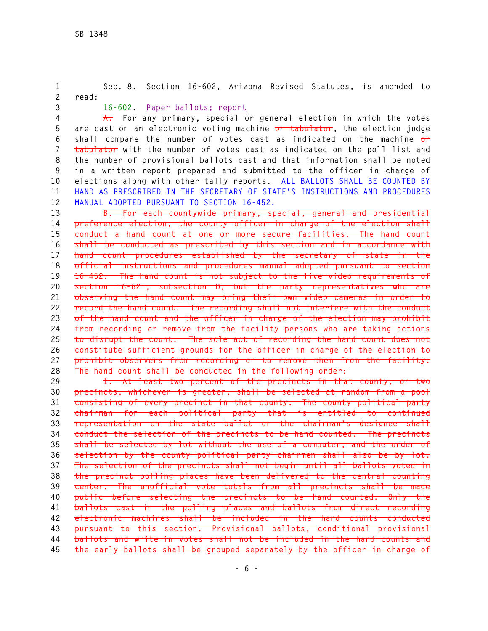**1 Sec. 8. Section 16-602, Arizona Revised Statutes, is amended to 2 read: 3 16-602. Paper ballots; report 4 A. For any primary, special or general election in which the votes 5 are cast on an electronic voting machine or tabulator, the election judge 6 shall compare the number of votes cast as indicated on the machine or 7 tabulator with the number of votes cast as indicated on the poll list and 8 the number of provisional ballots cast and that information shall be noted 9 in a written report prepared and submitted to the officer in charge of 10 elections along with other tally reports. ALL BALLOTS SHALL BE COUNTED BY 11 HAND AS PRESCRIBED IN THE SECRETARY OF STATE'S INSTRUCTIONS AND PROCEDURES 12 MANUAL ADOPTED PURSUANT TO SECTION 16-452. 13 B. For each countywide primary, special, general and presidential 14 preference election, the county officer in charge of the election shall 15 conduct a hand count at one or more secure facilities. The hand count 16 shall be conducted as prescribed by this section and in accordance with** 

**17 hand count procedures established by the secretary of state in the 18 official instructions and procedures manual adopted pursuant to section 19 16-452. The hand count is not subject to the live video requirements of 20 section 16-621, subsection D, but the party representatives who are 21 observing the hand count may bring their own video cameras in order to 22 record the hand count. The recording shall not interfere with the conduct 23 of the hand count and the officer in charge of the election may prohibit 24 from recording or remove from the facility persons who are taking actions 25 to disrupt the count. The sole act of recording the hand count does not 26 constitute sufficient grounds for the officer in charge of the election to 27 prohibit observers from recording or to remove them from the facility. 28 The hand count shall be conducted in the following order:** 

**29 1. At least two percent of the precincts in that county, or two 30 precincts, whichever is greater, shall be selected at random from a pool 31 consisting of every precinct in that county. The county political party 32 chairman for each political party that is entitled to continued 33 representation on the state ballot or the chairman's designee shall 34 conduct the selection of the precincts to be hand counted. The precincts 35 shall be selected by lot without the use of a computer, and the order of 36 selection by the county political party chairmen shall also be by lot. 37 The selection of the precincts shall not begin until all ballots voted in 38 the precinct polling places have been delivered to the central counting 39 center. The unofficial vote totals from all precincts shall be made 40 public before selecting the precincts to be hand counted. Only the 41 ballots cast in the polling places and ballots from direct recording 42 electronic machines shall be included in the hand counts conducted 43 pursuant to this section. Provisional ballots, conditional provisional 44 ballots and write-in votes shall not be included in the hand counts and 45 the early ballots shall be grouped separately by the officer in charge of**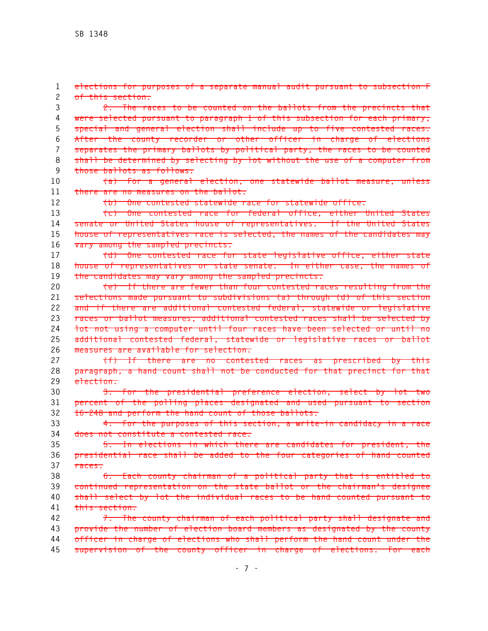**1 elections for purposes of a separate manual audit pursuant to subsection F 2 of this section. 3 2. The races to be counted on the ballots from the precincts that 4 were selected pursuant to paragraph 1 of this subsection for each primary, 5 special and general election shall include up to five contested races. 6 After the county recorder or other officer in charge of elections 7 separates the primary ballots by political party, the races to be counted 8 shall be determined by selecting by lot without the use of a computer from 9 those ballots as follows: 10 (a) For a general election, one statewide ballot measure, unless 11 there are no measures on the ballot. 12 (b) One contested statewide race for statewide office. 13 (c) One contested race for federal office, either United States 14 senate or United States house of representatives. If the United States 15 house of representatives race is selected, the names of the candidates may 16 vary among the sampled precincts. 17 (d) One contested race for state legislative office, either state 18 house of representatives or state senate. In either case, the names of 19 the candidates may vary among the sampled precincts. 20 (e) If there are fewer than four contested races resulting from the 21 selections made pursuant to subdivisions (a) through (d) of this section 22 and if there are additional contested federal, statewide or legislative 23 races or ballot measures, additional contested races shall be selected by 24 lot not using a computer until four races have been selected or until no 25 additional contested federal, statewide or legislative races or ballot 26 measures are available for selection. 27 (f) If there are no contested races as prescribed by this 28 paragraph, a hand count shall not be conducted for that precinct for that 29 election. 30 3. For the presidential preference election, select by lot two 31 percent of the polling places designated and used pursuant to section 32 16-248 and perform the hand count of those ballots. 33 4. For the purposes of this section, a write-in candidacy in a race 34 does not constitute a contested race. 35 5. In elections in which there are candidates for president, the 36 presidential race shall be added to the four categories of hand counted 37 races. 38 6. Each county chairman of a political party that is entitled to 39 continued representation on the state ballot or the chairman's designee 40 shall select by lot the individual races to be hand counted pursuant to 41 this section. 42 7. The county chairman of each political party shall designate and 43 provide the number of election board members as designated by the county 44 officer in charge of elections who shall perform the hand count under the 45 supervision of the county officer in charge of elections. For each**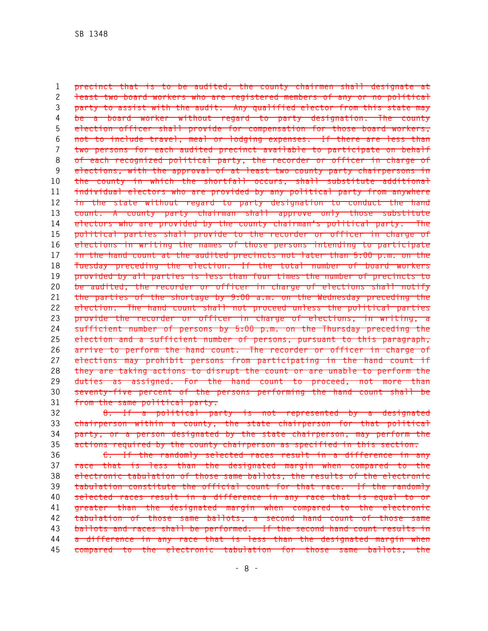**1 precinct that is to be audited, the county chairmen shall designate at 2 least two board workers who are registered members of any or no political 3 party to assist with the audit. Any qualified elector from this state may 4 be a board worker without regard to party designation. The county 5 election officer shall provide for compensation for those board workers, 6 not to include travel, meal or lodging expenses. If there are less than 7 two persons for each audited precinct available to participate on behalf 8 of each recognized political party, the recorder or officer in charge of 9 elections, with the approval of at least two county party chairpersons in 10 the county in which the shortfall occurs, shall substitute additional 11 individual electors who are provided by any political party from anywhere 12 in the state without regard to party designation to conduct the hand 13 count. A county party chairman shall approve only those substitute 14 electors who are provided by the county chairman's political party. The 15 political parties shall provide to the recorder or officer in charge of 16 elections in writing the names of those persons intending to participate 17 in the hand count at the audited precincts not later than 5:00 p.m. on the 18 Tuesday preceding the election. If the total number of board workers 19 provided by all parties is less than four times the number of precincts to 20 be audited, the recorder or officer in charge of elections shall notify 21 the parties of the shortage by 9:00 a.m. on the Wednesday preceding the 22 election. The hand count shall not proceed unless the political parties 23 provide the recorder or officer in charge of elections, in writing, a 24 sufficient number of persons by 5:00 p.m. on the Thursday preceding the 25 election and a sufficient number of persons, pursuant to this paragraph, 26 arrive to perform the hand count. The recorder or officer in charge of 27 elections may prohibit persons from participating in the hand count if 28 they are taking actions to disrupt the count or are unable to perform the 29 duties as assigned. For the hand count to proceed, not more than 30 seventy-five percent of the persons performing the hand count shall be 31 from the same political party.** 

**32 8. If a political party is not represented by a designated 33 chairperson within a county, the state chairperson for that political 34 party, or a person designated by the state chairperson, may perform the 35 actions required by the county chairperson as specified in this section.** 

**36 C. If the randomly selected races result in a difference in any 37 race that is less than the designated margin when compared to the 38 electronic tabulation of those same ballots, the results of the electronic 39 tabulation constitute the official count for that race. If the randomly 40 selected races result in a difference in any race that is equal to or 41 greater than the designated margin when compared to the electronic 42 tabulation of those same ballots, a second hand count of those same 43 ballots and races shall be performed. If the second hand count results in 44 a difference in any race that is less than the designated margin when 45 compared to the electronic tabulation for those same ballots, the**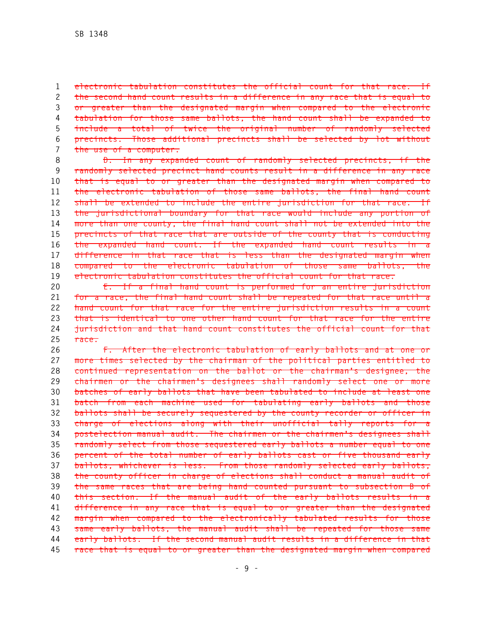**1 electronic tabulation constitutes the official count for that race. If 2 the second hand count results in a difference in any race that is equal to 3 or greater than the designated margin when compared to the electronic 4 tabulation for those same ballots, the hand count shall be expanded to 5 include a total of twice the original number of randomly selected 6 precincts. Those additional precincts shall be selected by lot without 7 the use of a computer.** 

**8 D. In any expanded count of randomly selected precincts, if the 9 randomly selected precinct hand counts result in a difference in any race 10 that is equal to or greater than the designated margin when compared to 11 the electronic tabulation of those same ballots, the final hand count 12 shall be extended to include the entire jurisdiction for that race. If 13 the jurisdictional boundary for that race would include any portion of 14 more than one county, the final hand count shall not be extended into the 15 precincts of that race that are outside of the county that is conducting 16 the expanded hand count. If the expanded hand count results in a 17 difference in that race that is less than the designated margin when 18 compared to the electronic tabulation of those same ballots, the 19 electronic tabulation constitutes the official count for that race.** 

**20 E. If a final hand count is performed for an entire jurisdiction 21 for a race, the final hand count shall be repeated for that race until a 22 hand count for that race for the entire jurisdiction results in a count 23 that is identical to one other hand count for that race for the entire 24 jurisdiction and that hand count constitutes the official count for that 25 race.** 

**26 F. After the electronic tabulation of early ballots and at one or 27 more times selected by the chairman of the political parties entitled to 28 continued representation on the ballot or the chairman's designee, the 29 chairmen or the chairmen's designees shall randomly select one or more 30 batches of early ballots that have been tabulated to include at least one 31 batch from each machine used for tabulating early ballots and those 32 ballots shall be securely sequestered by the county recorder or officer in 33 charge of elections along with their unofficial tally reports for a 34 postelection manual audit. The chairmen or the chairmen's designees shall 35 randomly select from those sequestered early ballots a number equal to one 36 percent of the total number of early ballots cast or five thousand early 37 ballots, whichever is less. From those randomly selected early ballots, 38 the county officer in charge of elections shall conduct a manual audit of 39 the same races that are being hand counted pursuant to subsection B of 40 this section. If the manual audit of the early ballots results in a 41 difference in any race that is equal to or greater than the designated 42 margin when compared to the electronically tabulated results for those 43 same early ballots, the manual audit shall be repeated for those same 44 early ballots. If the second manual audit results in a difference in that 45 race that is equal to or greater than the designated margin when compared**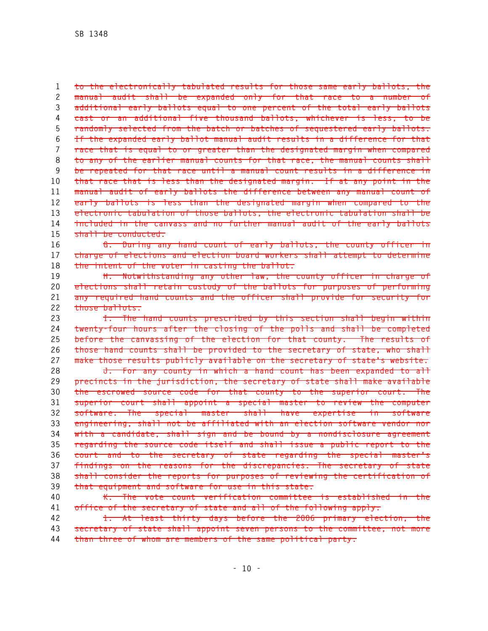**1 to the electronically tabulated results for those same early ballots, the 2 manual audit shall be expanded only for that race to a number of 3 additional early ballots equal to one percent of the total early ballots 4 cast or an additional five thousand ballots, whichever is less, to be 5 randomly selected from the batch or batches of sequestered early ballots. 6 If the expanded early ballot manual audit results in a difference for that 7 race that is equal to or greater than the designated margin when compared 8 to any of the earlier manual counts for that race, the manual counts shall 9 be repeated for that race until a manual count results in a difference in 10 that race that is less than the designated margin. If at any point in the 11 manual audit of early ballots the difference between any manual count of 12 early ballots is less than the designated margin when compared to the 13 electronic tabulation of those ballots, the electronic tabulation shall be 14 included in the canvass and no further manual audit of the early ballots 15 shall be conducted.** 

**16 G. During any hand count of early ballots, the county officer in 17 charge of elections and election board workers shall attempt to determine 18 the intent of the voter in casting the ballot.** 

**19 H. Notwithstanding any other law, the county officer in charge of 20 elections shall retain custody of the ballots for purposes of performing 21 any required hand counts and the officer shall provide for security for 22 those ballots.** 

**23 I. The hand counts prescribed by this section shall begin within 24 twenty-four hours after the closing of the polls and shall be completed 25 before the canvassing of the election for that county. The results of 26 those hand counts shall be provided to the secretary of state, who shall 27 make those results publicly available on the secretary of state's website.** 

**28 J. For any county in which a hand count has been expanded to all 29 precincts in the jurisdiction, the secretary of state shall make available 30 the escrowed source code for that county to the superior court. The 31 superior court shall appoint a special master to review the computer 32 software. The special master shall have expertise in software 33 engineering, shall not be affiliated with an election software vendor nor 34 with a candidate, shall sign and be bound by a nondisclosure agreement 35 regarding the source code itself and shall issue a public report to the 36 court and to the secretary of state regarding the special master's 37 findings on the reasons for the discrepancies. The secretary of state 38 shall consider the reports for purposes of reviewing the certification of 39 that equipment and software for use in this state.** 

**40 K. The vote count verification committee is established in the 41 office of the secretary of state and all of the following apply:** 

**42 1. At least thirty days before the 2006 primary election, the 43 secretary of state shall appoint seven persons to the committee, not more 44 than three of whom are members of the same political party.**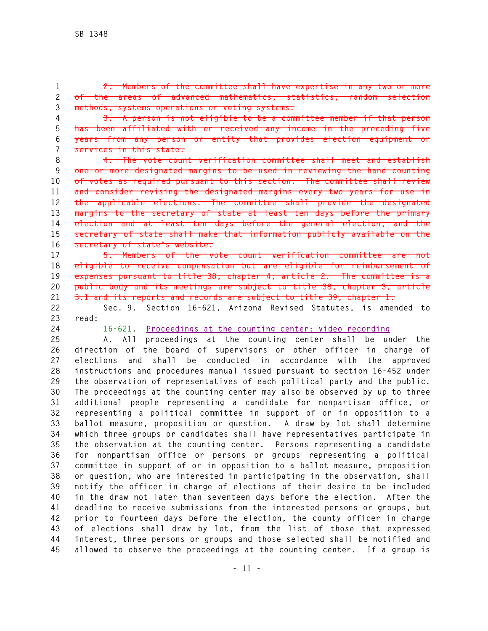**1 2. Members of the committee shall have expertise in any two or more 2 of the areas of advanced mathematics, statistics, random selection 3 methods, systems operations or voting systems.** 

**4 3. A person is not eligible to be a committee member if that person 5 has been affiliated with or received any income in the preceding five 6 years from any person or entity that provides election equipment or 7 services in this state.** 

**8 4. The vote count verification committee shall meet and establish 9 one or more designated margins to be used in reviewing the hand counting 10 of votes as required pursuant to this section. The committee shall review 11 and consider revising the designated margins every two years for use in 12 the applicable elections. The committee shall provide the designated 13 margins to the secretary of state at least ten days before the primary 14 election and at least ten days before the general election, and the 15 secretary of state shall make that information publicly available on the 16 secretary of state's website.** 

**17 5. Members of the vote count verification committee are not 18 eligible to receive compensation but are eligible for reimbursement of 19 expenses pursuant to title 38, chapter 4, article 2. The committee is a 20 public body and its meetings are subject to title 38, chapter 3, article 21 3.1 and its reports and records are subject to title 39, chapter 1.** 

**22 Sec. 9. Section 16-621, Arizona Revised Statutes, is amended to 23 read:** 

**24 16-621. Proceedings at the counting center: video recording** 

**25 A. All proceedings at the counting center shall be under the 26 direction of the board of supervisors or other officer in charge of 27 elections and shall be conducted in accordance with the approved 28 instructions and procedures manual issued pursuant to section 16-452 under 29 the observation of representatives of each political party and the public. 30 The proceedings at the counting center may also be observed by up to three 31 additional people representing a candidate for nonpartisan office, or 32 representing a political committee in support of or in opposition to a 33 ballot measure, proposition or question. A draw by lot shall determine 34 which three groups or candidates shall have representatives participate in 35 the observation at the counting center. Persons representing a candidate 36 for nonpartisan office or persons or groups representing a political 37 committee in support of or in opposition to a ballot measure, proposition 38 or question, who are interested in participating in the observation, shall 39 notify the officer in charge of elections of their desire to be included 40 in the draw not later than seventeen days before the election. After the 41 deadline to receive submissions from the interested persons or groups, but 42 prior to fourteen days before the election, the county officer in charge 43 of elections shall draw by lot, from the list of those that expressed 44 interest, three persons or groups and those selected shall be notified and 45 allowed to observe the proceedings at the counting center. If a group is**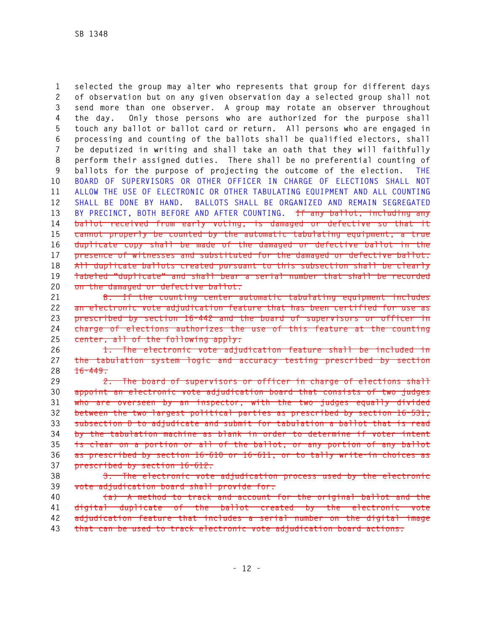**1 selected the group may alter who represents that group for different days 2 of observation but on any given observation day a selected group shall not 3 send more than one observer. A group may rotate an observer throughout 4 the day. Only those persons who are authorized for the purpose shall 5 touch any ballot or ballot card or return. All persons who are engaged in 6 processing and counting of the ballots shall be qualified electors, shall 7 be deputized in writing and shall take an oath that they will faithfully 8 perform their assigned duties. There shall be no preferential counting of 9 ballots for the purpose of projecting the outcome of the election. THE 10 BOARD OF SUPERVISORS OR OTHER OFFICER IN CHARGE OF ELECTIONS SHALL NOT 11 ALLOW THE USE OF ELECTRONIC OR OTHER TABULATING EQUIPMENT AND ALL COUNTING 12 SHALL BE DONE BY HAND. BALLOTS SHALL BE ORGANIZED AND REMAIN SEGREGATED 13 BY PRECINCT, BOTH BEFORE AND AFTER COUNTING. If any ballot, including any 14 ballot received from early voting, is damaged or defective so that it 15 cannot properly be counted by the automatic tabulating equipment, a true 16 duplicate copy shall be made of the damaged or defective ballot in the 17 presence of witnesses and substituted for the damaged or defective ballot. 18 All duplicate ballots created pursuant to this subsection shall be clearly 19 labeled "duplicate" and shall bear a serial number that shall be recorded 20 on the damaged or defective ballot.**

**21 B. If the counting center automatic tabulating equipment includes 22 an electronic vote adjudication feature that has been certified for use as 23 prescribed by section 16-442 and the board of supervisors or officer in 24 charge of elections authorizes the use of this feature at the counting 25 center, all of the following apply:** 

**26 1. The electronic vote adjudication feature shall be included in 27 the tabulation system logic and accuracy testing prescribed by section 28 16-449.** 

**29 2. The board of supervisors or officer in charge of elections shall 30 appoint an electronic vote adjudication board that consists of two judges 31 who are overseen by an inspector, with the two judges equally divided 32 between the two largest political parties as prescribed by section 16-531, 33 subsection D to adjudicate and submit for tabulation a ballot that is read 34 by the tabulation machine as blank in order to determine if voter intent 35 is clear on a portion or all of the ballot, or any portion of any ballot 36 as prescribed by section 16-610 or 16-611, or to tally write-in choices as 37 prescribed by section 16-612.** 

**38 3. The electronic vote adjudication process used by the electronic 39 vote adjudication board shall provide for:** 

**40 (a) A method to track and account for the original ballot and the 41 digital duplicate of the ballot created by the electronic vote 42 adjudication feature that includes a serial number on the digital image** 

**43 that can be used to track electronic vote adjudication board actions.**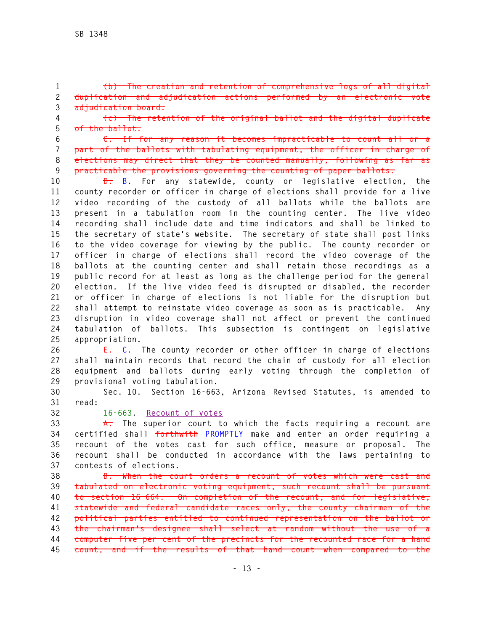**1 (b) The creation and retention of comprehensive logs of all digital 2 duplication and adjudication actions performed by an electronic vote 3 adjudication board.** 

**4 (c) The retention of the original ballot and the digital duplicate 5 of the ballot.**

**6 C. If for any reason it becomes impracticable to count all or a 7 part of the ballots with tabulating equipment, the officer in charge of 8 elections may direct that they be counted manually, following as far as 9 practicable the provisions governing the counting of paper ballots.** 

**10 D. B. For any statewide, county or legislative election, the 11 county recorder or officer in charge of elections shall provide for a live 12 video recording of the custody of all ballots while the ballots are 13 present in a tabulation room in the counting center. The live video 14 recording shall include date and time indicators and shall be linked to 15 the secretary of state's website. The secretary of state shall post links 16 to the video coverage for viewing by the public. The county recorder or 17 officer in charge of elections shall record the video coverage of the 18 ballots at the counting center and shall retain those recordings as a 19 public record for at least as long as the challenge period for the general 20 election. If the live video feed is disrupted or disabled, the recorder 21 or officer in charge of elections is not liable for the disruption but 22 shall attempt to reinstate video coverage as soon as is practicable. Any 23 disruption in video coverage shall not affect or prevent the continued 24 tabulation of ballots. This subsection is contingent on legislative 25 appropriation.** 

**26 E. C. The county recorder or other officer in charge of elections 27 shall maintain records that record the chain of custody for all election 28 equipment and ballots during early voting through the completion of 29 provisional voting tabulation.** 

**30 Sec. 10. Section 16-663, Arizona Revised Statutes, is amended to 31 read:** 

**32 16-663. Recount of votes**

**33 A. The superior court to which the facts requiring a recount are 34 certified shall forthwith PROMPTLY make and enter an order requiring a 35 recount of the votes cast for such office, measure or proposal. The 36 recount shall be conducted in accordance with the laws pertaining to 37 contests of elections.** 

**38 B. When the court orders a recount of votes which were cast and 39 tabulated on electronic voting equipment, such recount shall be pursuant 40 to section 16-664. On completion of the recount, and for legislative, 41 statewide and federal candidate races only, the county chairmen of the 42 political parties entitled to continued representation on the ballot or 43 the chairman's designee shall select at random without the use of a 44 computer five per cent of the precincts for the recounted race for a hand 45 count, and if the results of that hand count when compared to the**